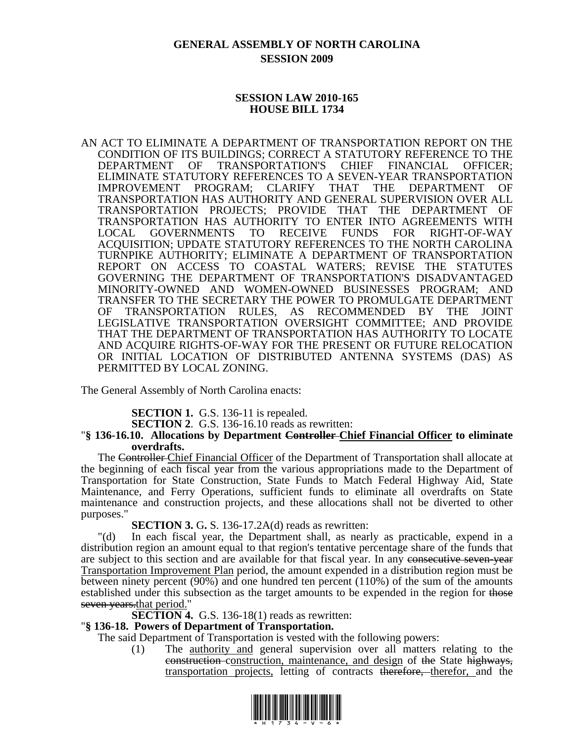# **GENERAL ASSEMBLY OF NORTH CAROLINA SESSION 2009**

### **SESSION LAW 2010-165 HOUSE BILL 1734**

AN ACT TO ELIMINATE A DEPARTMENT OF TRANSPORTATION REPORT ON THE CONDITION OF ITS BUILDINGS; CORRECT A STATUTORY REFERENCE TO THE DEPARTMENT OF TRANSPORTATION'S CHIEF FINANCIAL OFFICER; ELIMINATE STATUTORY REFERENCES TO A SEVEN-YEAR TRANSPORTATION IMPROVEMENT PROGRAM; CLARIFY THAT THE DEPARTMENT OF TRANSPORTATION HAS AUTHORITY AND GENERAL SUPERVISION OVER ALL TRANSPORTATION PROJECTS; PROVIDE THAT THE DEPARTMENT OF TRANSPORTATION HAS AUTHORITY TO ENTER INTO AGREEMENTS WITH LOCAL GOVERNMENTS TO RECEIVE FUNDS FOR RIGHT-OF-WAY ACQUISITION; UPDATE STATUTORY REFERENCES TO THE NORTH CAROLINA TURNPIKE AUTHORITY; ELIMINATE A DEPARTMENT OF TRANSPORTATION REPORT ON ACCESS TO COASTAL WATERS; REVISE THE STATUTES GOVERNING THE DEPARTMENT OF TRANSPORTATION'S DISADVANTAGED MINORITY-OWNED AND WOMEN-OWNED BUSINESSES PROGRAM; AND TRANSFER TO THE SECRETARY THE POWER TO PROMULGATE DEPARTMENT OF TRANSPORTATION RULES, AS RECOMMENDED BY THE JOINT LEGISLATIVE TRANSPORTATION OVERSIGHT COMMITTEE; AND PROVIDE THAT THE DEPARTMENT OF TRANSPORTATION HAS AUTHORITY TO LOCATE AND ACQUIRE RIGHTS-OF-WAY FOR THE PRESENT OR FUTURE RELOCATION OR INITIAL LOCATION OF DISTRIBUTED ANTENNA SYSTEMS (DAS) AS PERMITTED BY LOCAL ZONING.

The General Assembly of North Carolina enacts:

**SECTION 1.** G.S. 136-11 is repealed.

**SECTION 2**. G.S. 136-16.10 reads as rewritten:

#### "**§ 136-16.10. Allocations by Department Controller Chief Financial Officer to eliminate overdrafts.**

The Controller Chief Financial Officer of the Department of Transportation shall allocate at the beginning of each fiscal year from the various appropriations made to the Department of Transportation for State Construction, State Funds to Match Federal Highway Aid, State Maintenance, and Ferry Operations, sufficient funds to eliminate all overdrafts on State maintenance and construction projects, and these allocations shall not be diverted to other purposes."

**SECTION 3. G. S.** 136-17.2A(d) reads as rewritten:

"(d) In each fiscal year, the Department shall, as nearly as practicable, expend in a distribution region an amount equal to that region's tentative percentage share of the funds that are subject to this section and are available for that fiscal year. In any consecutive seven-year Transportation Improvement Plan period, the amount expended in a distribution region must be between ninety percent (90%) and one hundred ten percent (110%) of the sum of the amounts established under this subsection as the target amounts to be expended in the region for those seven years, that period."

**SECTION 4.** G.S. 136-18(1) reads as rewritten:

#### "**§ 136-18. Powers of Department of Transportation.**

The said Department of Transportation is vested with the following powers:

(1) The authority and general supervision over all matters relating to the construction construction, maintenance, and design of the State highways, transportation projects, letting of contracts therefore, therefor, and the

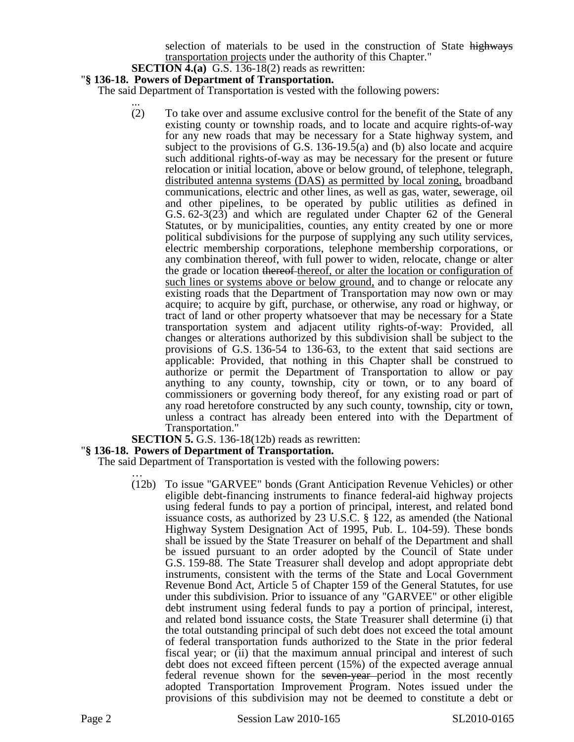selection of materials to be used in the construction of State highways transportation projects under the authority of this Chapter."

#### **SECTION 4.(a)** G.S. 136-18(2) reads as rewritten:

#### "**§ 136-18. Powers of Department of Transportation.**

The said Department of Transportation is vested with the following powers:

... (2) To take over and assume exclusive control for the benefit of the State of any existing county or township roads, and to locate and acquire rights-of-way for any new roads that may be necessary for a State highway system, and subject to the provisions of G.S. 136-19.5(a) and (b) also locate and acquire such additional rights-of-way as may be necessary for the present or future relocation or initial location, above or below ground, of telephone, telegraph, distributed antenna systems (DAS) as permitted by local zoning, broadband communications, electric and other lines, as well as gas, water, sewerage, oil and other pipelines, to be operated by public utilities as defined in G.S. 62-3(23) and which are regulated under Chapter 62 of the General Statutes, or by municipalities, counties, any entity created by one or more political subdivisions for the purpose of supplying any such utility services, electric membership corporations, telephone membership corporations, or any combination thereof, with full power to widen, relocate, change or alter the grade or location thereof thereof, or alter the location or configuration of such lines or systems above or below ground, and to change or relocate any existing roads that the Department of Transportation may now own or may acquire; to acquire by gift, purchase, or otherwise, any road or highway, or tract of land or other property whatsoever that may be necessary for a State transportation system and adjacent utility rights-of-way: Provided, all changes or alterations authorized by this subdivision shall be subject to the provisions of G.S. 136-54 to 136-63, to the extent that said sections are applicable: Provided, that nothing in this Chapter shall be construed to authorize or permit the Department of Transportation to allow or pay anything to any county, township, city or town, or to any board of commissioners or governing body thereof, for any existing road or part of any road heretofore constructed by any such county, township, city or town, unless a contract has already been entered into with the Department of Transportation."<br>**SECTION 5.** G.S. 136-18(12b) reads as rewritten:

#### **"§ 136-18. Powers of Department of Transportation.**

The said Department of Transportation is vested with the following powers:

(12b) To issue "GARVEE" bonds (Grant Anticipation Revenue Vehicles) or other eligible debt-financing instruments to finance federal-aid highway projects using federal funds to pay a portion of principal, interest, and related bond issuance costs, as authorized by 23 U.S.C. § 122, as amended (the National Highway System Designation Act of 1995, Pub. L. 104-59). These bonds shall be issued by the State Treasurer on behalf of the Department and shall be issued pursuant to an order adopted by the Council of State under G.S. 159-88. The State Treasurer shall develop and adopt appropriate debt instruments, consistent with the terms of the State and Local Government Revenue Bond Act, Article 5 of Chapter 159 of the General Statutes, for use under this subdivision. Prior to issuance of any "GARVEE" or other eligible debt instrument using federal funds to pay a portion of principal, interest, and related bond issuance costs, the State Treasurer shall determine (i) that the total outstanding principal of such debt does not exceed the total amount of federal transportation funds authorized to the State in the prior federal fiscal year; or (ii) that the maximum annual principal and interest of such debt does not exceed fifteen percent (15%) of the expected average annual federal revenue shown for the seven-year period in the most recently adopted Transportation Improvement Program. Notes issued under the provisions of this subdivision may not be deemed to constitute a debt or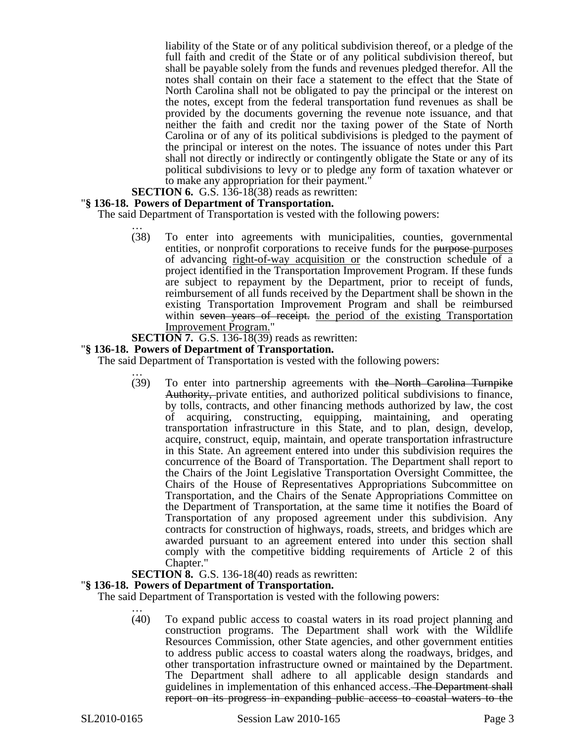liability of the State or of any political subdivision thereof, or a pledge of the full faith and credit of the State or of any political subdivision thereof, but shall be payable solely from the funds and revenues pledged therefor. All the notes shall contain on their face a statement to the effect that the State of North Carolina shall not be obligated to pay the principal or the interest on the notes, except from the federal transportation fund revenues as shall be provided by the documents governing the revenue note issuance, and that neither the faith and credit nor the taxing power of the State of North Carolina or of any of its political subdivisions is pledged to the payment of the principal or interest on the notes. The issuance of notes under this Part shall not directly or indirectly or contingently obligate the State or any of its political subdivisions to levy or to pledge any form of taxation whatever or to make any appropriation for their payment."

**SECTION 6.** G.S. 136-18(38) reads as rewritten:

#### "**§ 136-18. Powers of Department of Transportation.**

The said Department of Transportation is vested with the following powers:

- … (38) To enter into agreements with municipalities, counties, governmental entities, or nonprofit corporations to receive funds for the purpose-purposes of advancing right-of-way acquisition or the construction schedule of a project identified in the Transportation Improvement Program. If these funds are subject to repayment by the Department, prior to receipt of funds, reimbursement of all funds received by the Department shall be shown in the existing Transportation Improvement Program and shall be reimbursed within seven years of receipt. the period of the existing Transportation Improvement Program."
- **SECTION 7.** G.S. 136-18(39) reads as rewritten:

#### "**§ 136-18. Powers of Department of Transportation.**

The said Department of Transportation is vested with the following powers:

… (39) To enter into partnership agreements with the North Carolina Turnpike Authority, private entities, and authorized political subdivisions to finance, by tolls, contracts, and other financing methods authorized by law, the cost of acquiring, constructing, equipping, maintaining, and operating transportation infrastructure in this State, and to plan, design, develop, acquire, construct, equip, maintain, and operate transportation infrastructure in this State. An agreement entered into under this subdivision requires the concurrence of the Board of Transportation. The Department shall report to the Chairs of the Joint Legislative Transportation Oversight Committee, the Chairs of the House of Representatives Appropriations Subcommittee on Transportation, and the Chairs of the Senate Appropriations Committee on the Department of Transportation, at the same time it notifies the Board of Transportation of any proposed agreement under this subdivision. Any contracts for construction of highways, roads, streets, and bridges which are awarded pursuant to an agreement entered into under this section shall comply with the competitive bidding requirements of Article 2 of this Chapter."

#### **SECTION 8.** G.S. 136-18(40) reads as rewritten:

#### "**§ 136-18. Powers of Department of Transportation.**

The said Department of Transportation is vested with the following powers:

… (40) To expand public access to coastal waters in its road project planning and construction programs. The Department shall work with the Wildlife Resources Commission, other State agencies, and other government entities to address public access to coastal waters along the roadways, bridges, and other transportation infrastructure owned or maintained by the Department. The Department shall adhere to all applicable design standards and guidelines in implementation of this enhanced access. The Department shall report on its progress in expanding public access to coastal waters to the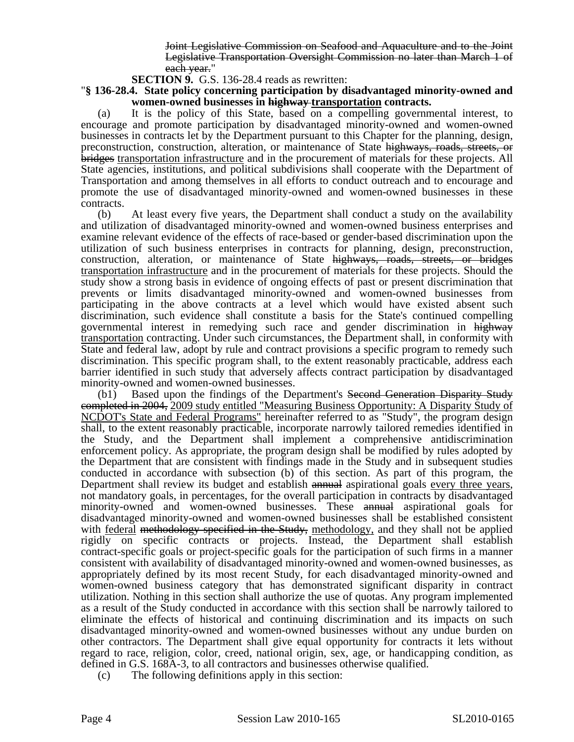Joint Legislative Commission on Seafood and Aquaculture and to the Joint Legislative Transportation Oversight Commission no later than March 1 of each year."

**SECTION 9.** G.S. 136-28.4 reads as rewritten:

"**§ 136-28.4. State policy concerning participation by disadvantaged minority-owned and women-owned businesses in highway transportation contracts.** 

(a) It is the policy of this State, based on a compelling governmental interest, to encourage and promote participation by disadvantaged minority-owned and women-owned businesses in contracts let by the Department pursuant to this Chapter for the planning, design, preconstruction, construction, alteration, or maintenance of State highways, roads, streets, or bridges transportation infrastructure and in the procurement of materials for these projects. All State agencies, institutions, and political subdivisions shall cooperate with the Department of Transportation and among themselves in all efforts to conduct outreach and to encourage and promote the use of disadvantaged minority-owned and women-owned businesses in these contracts.

(b) At least every five years, the Department shall conduct a study on the availability and utilization of disadvantaged minority-owned and women-owned business enterprises and examine relevant evidence of the effects of race-based or gender-based discrimination upon the utilization of such business enterprises in contracts for planning, design, preconstruction, construction, alteration, or maintenance of State highways, roads, streets, or bridges transportation infrastructure and in the procurement of materials for these projects. Should the study show a strong basis in evidence of ongoing effects of past or present discrimination that prevents or limits disadvantaged minority-owned and women-owned businesses from participating in the above contracts at a level which would have existed absent such discrimination, such evidence shall constitute a basis for the State's continued compelling governmental interest in remedying such race and gender discrimination in highway transportation contracting. Under such circumstances, the Department shall, in conformity with State and federal law, adopt by rule and contract provisions a specific program to remedy such discrimination. This specific program shall, to the extent reasonably practicable, address each barrier identified in such study that adversely affects contract participation by disadvantaged minority-owned and women-owned businesses.

(b1) Based upon the findings of the Department's Second Generation Disparity Study completed in 2004, 2009 study entitled "Measuring Business Opportunity: A Disparity Study of NCDOT's State and Federal Programs" hereinafter referred to as "Study", the program design shall, to the extent reasonably practicable, incorporate narrowly tailored remedies identified in the Study, and the Department shall implement a comprehensive antidiscrimination enforcement policy. As appropriate, the program design shall be modified by rules adopted by the Department that are consistent with findings made in the Study and in subsequent studies conducted in accordance with subsection (b) of this section. As part of this program, the Department shall review its budget and establish annual aspirational goals every three years, not mandatory goals, in percentages, for the overall participation in contracts by disadvantaged minority-owned and women-owned businesses. These annual aspirational goals for disadvantaged minority-owned and women-owned businesses shall be established consistent with federal methodology specified in the Study, methodology, and they shall not be applied rigidly on specific contracts or projects. Instead, the Department shall establish contract-specific goals or project-specific goals for the participation of such firms in a manner consistent with availability of disadvantaged minority-owned and women-owned businesses, as appropriately defined by its most recent Study, for each disadvantaged minority-owned and women-owned business category that has demonstrated significant disparity in contract utilization. Nothing in this section shall authorize the use of quotas. Any program implemented as a result of the Study conducted in accordance with this section shall be narrowly tailored to eliminate the effects of historical and continuing discrimination and its impacts on such disadvantaged minority-owned and women-owned businesses without any undue burden on other contractors. The Department shall give equal opportunity for contracts it lets without regard to race, religion, color, creed, national origin, sex, age, or handicapping condition, as defined in G.S. 168A-3, to all contractors and businesses otherwise qualified.

(c) The following definitions apply in this section: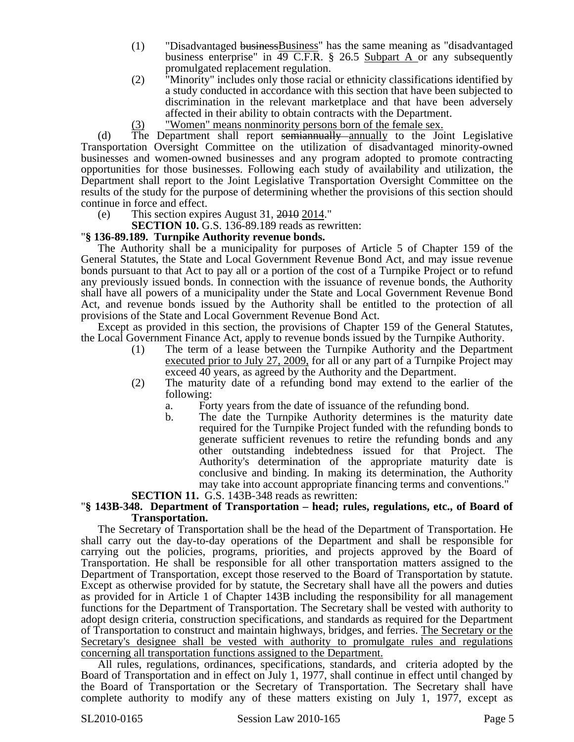- (1) "Disadvantaged businessBusiness" has the same meaning as "disadvantaged business enterprise" in 49 C.F.R. § 26.5 Subpart A or any subsequently promulgated replacement regulation.
- (2) "Minority" includes only those racial or ethnicity classifications identified by a study conducted in accordance with this section that have been subjected to discrimination in the relevant marketplace and that have been adversely affected in their ability to obtain contracts with the Department.
- (3) "Women" means nonminority persons born of the female sex.

(d) The Department shall report semiannually annually to the Joint Legislative Transportation Oversight Committee on the utilization of disadvantaged minority-owned businesses and women-owned businesses and any program adopted to promote contracting opportunities for those businesses. Following each study of availability and utilization, the Department shall report to the Joint Legislative Transportation Oversight Committee on the results of the study for the purpose of determining whether the provisions of this section should continue in force and effect.

(e) This section expires August 31, 2010 2014."

**SECTION 10.** G.S. 136-89.189 reads as rewritten:

#### "**§ 136-89.189. Turnpike Authority revenue bonds.**

The Authority shall be a municipality for purposes of Article 5 of Chapter 159 of the General Statutes, the State and Local Government Revenue Bond Act, and may issue revenue bonds pursuant to that Act to pay all or a portion of the cost of a Turnpike Project or to refund any previously issued bonds. In connection with the issuance of revenue bonds, the Authority shall have all powers of a municipality under the State and Local Government Revenue Bond Act, and revenue bonds issued by the Authority shall be entitled to the protection of all provisions of the State and Local Government Revenue Bond Act.

Except as provided in this section, the provisions of Chapter 159 of the General Statutes, the Local Government Finance Act, apply to revenue bonds issued by the Turnpike Authority.

- (1) The term of a lease between the Turnpike Authority and the Department executed prior to July 27, 2009, for all or any part of a Turnpike Project may exceed 40 years, as agreed by the Authority and the Department.
- (2) The maturity date of a refunding bond may extend to the earlier of the following:
	- a. Forty years from the date of issuance of the refunding bond.
	- b. The date the Turnpike Authority determines is the maturity date required for the Turnpike Project funded with the refunding bonds to generate sufficient revenues to retire the refunding bonds and any other outstanding indebtedness issued for that Project. The Authority's determination of the appropriate maturity date is conclusive and binding. In making its determination, the Authority may take into account appropriate financing terms and conventions."

# **SECTION 11.** G.S. 143B-348 reads as rewritten: "**§ 143B-348. Department of Transportation – head; rules, regulations, etc., of Board of Transportation.**

The Secretary of Transportation shall be the head of the Department of Transportation. He shall carry out the day-to-day operations of the Department and shall be responsible for carrying out the policies, programs, priorities, and projects approved by the Board of Transportation. He shall be responsible for all other transportation matters assigned to the Department of Transportation, except those reserved to the Board of Transportation by statute. Except as otherwise provided for by statute, the Secretary shall have all the powers and duties as provided for in Article 1 of Chapter 143B including the responsibility for all management functions for the Department of Transportation. The Secretary shall be vested with authority to adopt design criteria, construction specifications, and standards as required for the Department of Transportation to construct and maintain highways, bridges, and ferries. The Secretary or the Secretary's designee shall be vested with authority to promulgate rules and regulations concerning all transportation functions assigned to the Department.

All rules, regulations, ordinances, specifications, standards, and criteria adopted by the Board of Transportation and in effect on July 1, 1977, shall continue in effect until changed by the Board of Transportation or the Secretary of Transportation. The Secretary shall have complete authority to modify any of these matters existing on July 1, 1977, except as